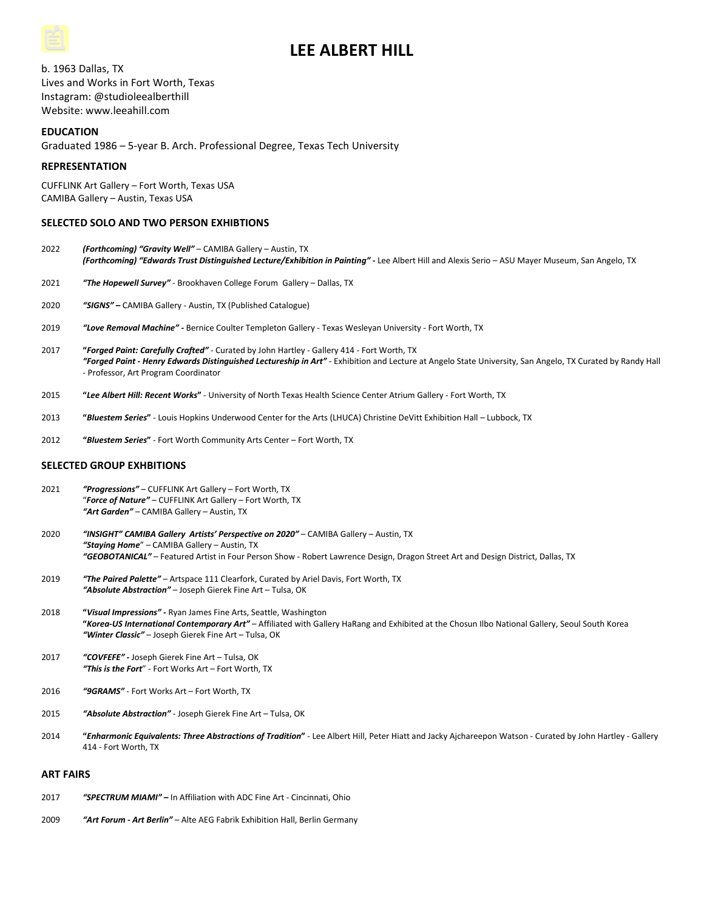# **LEE ALBERT HILL**

b. 1963 Dallas, TX Lives and Works in Fort Worth, Texas Instagram: @studioleealberthill Website: www.leeahill.com

# **EDUCATION**

Graduated 1986 – 5-year B. Arch. Professional Degree, Texas Tech University

## **REPRESENTATION**

CUFFLINK Art Gallery – Fort Worth, Texas USA CAMIBA Gallery – Austin, Texas USA

# **SELECTED SOLO AND TWO PERSON EXHIBTIONS**

- 2022 *(Forthcoming) "Gravity Well"* CAMIBA Gallery Austin, TX *(Forthcoming) "Edwards Trust Distinguished Lecture/Exhibition in Painting"* **-** Lee Albert Hill and Alexis Serio – ASU Mayer Museum, San Angelo, TX
- 2021 *"The Hopewell Survey"* Brookhaven College Forum Gallery Dallas, TX
- 2020 *"SIGNS"* **–** CAMIBA Gallery Austin, TX (Published Catalogue)
- 2019 *"Love Removal Machine" -* Bernice Coulter Templeton Gallery Texas Wesleyan University Fort Worth, TX
- 2017 **"***Forged Paint: Carefully Crafted"* Curated by John Hartley Gallery 414 Fort Worth, TX *"Forged Paint - Henry Edwards Distinguished Lectureship in Art"* **-** Exhibition and Lecture at Angelo State University, San Angelo, TX Curated by Randy Hall - Professor, Art Program Coordinator
- 2015 **"***Lee Albert Hill: Recent Works***"** University of North Texas Health Science Center Atrium Gallery Fort Worth, TX
- 2013 **"***Bluestem Series***"** Louis Hopkins Underwood Center for the Arts (LHUCA) Christine DeVitt Exhibition Hall Lubbock, TX
- 2012 **"***Bluestem Series***"** Fort Worth Community Arts Center Fort Worth, TX

## **SELECTED GROUP EXHBITIONS**

- 2021 *"Progressions"* CUFFLINK Art Gallery Fort Worth, TX "*Force of Nature"* – CUFFLINK Art Gallery – Fort Worth, TX *"Art Garden"* – CAMIBA Gallery – Austin, TX
- 2020 *"INSIGHT" CAMIBA Gallery Artists' Perspective on 2020"* CAMIBA Gallery Austin, TX *"Staying Home*" – CAMIBA Gallery – Austin, TX *"GEOBOTANICAL"* – Featured Artist in Four Person Show - Robert Lawrence Design, Dragon Street Art and Design District, Dallas, TX
- 2019 *"The Paired Palette"* Artspace 111 Clearfork, Curated by Ariel Davis, Fort Worth, TX *"Absolute Abstraction"* – Joseph Gierek Fine Art – Tulsa, OK
- 2018 **"***Visual Impressions" -* Ryan James Fine Arts, Seattle, Washington **"***Korea-US International Contemporary Art"* – Affiliated with Gallery HaRang and Exhibited at the Chosun Ilbo National Gallery, Seoul South Korea *"Winter Classic"* – Joseph Gierek Fine Art – Tulsa, OK
- 2017 *"COVFEFE" -* Joseph Gierek Fine Art Tulsa, OK *"This is the Fort*" - Fort Works Art – Fort Worth, TX
- 2016 *"9GRAMS"* Fort Works Art Fort Worth, TX
- 2015 *"Absolute Abstraction"* Joseph Gierek Fine Art Tulsa, OK
- 2014 **"***Enharmonic Equivalents: Three Abstractions of Tradition***"** Lee Albert Hill, Peter Hiatt and Jacky Ajchareepon Watson Curated by John Hartley Gallery 414 - Fort Worth, TX

#### **ART FAIRS**

- 2017 *"SPECTRUM MIAMI" –* In Affiliation with ADC Fine Art Cincinnati, Ohio
- 2009 *"Art Forum - Art Berlin"*  Alte AEG Fabrik Exhibition Hall, Berlin Germany